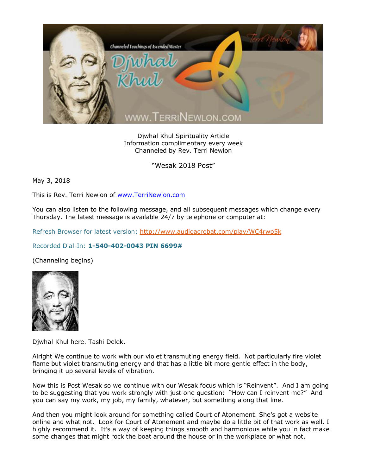

Djwhal Khul Spirituality Article Information complimentary every week Channeled by Rev. Terri Newlon

"Wesak 2018 Post"

May 3, 2018

This is Rev. Terri Newlon of [www.TerriNewlon.com](http://www.terrinewlon.com/)

You can also listen to the following message, and all subsequent messages which change every Thursday. The latest message is available 24/7 by telephone or computer at:

Refresh Browser for latest version:<http://www.audioacrobat.com/play/WC4rwp5k>

## Recorded Dial-In: **1-540-402-0043 PIN 6699#**

(Channeling begins)



Djwhal Khul here. Tashi Delek.

Alright We continue to work with our violet transmuting energy field. Not particularly fire violet flame but violet transmuting energy and that has a little bit more gentle effect in the body, bringing it up several levels of vibration.

Now this is Post Wesak so we continue with our Wesak focus which is "Reinvent". And I am going to be suggesting that you work strongly with just one question: "How can I reinvent me?" And you can say my work, my job, my family, whatever, but something along that line.

And then you might look around for something called Court of Atonement. She's got a website online and what not. Look for Court of Atonement and maybe do a little bit of that work as well. I highly recommend it. It's a way of keeping things smooth and harmonious while you in fact make some changes that might rock the boat around the house or in the workplace or what not.